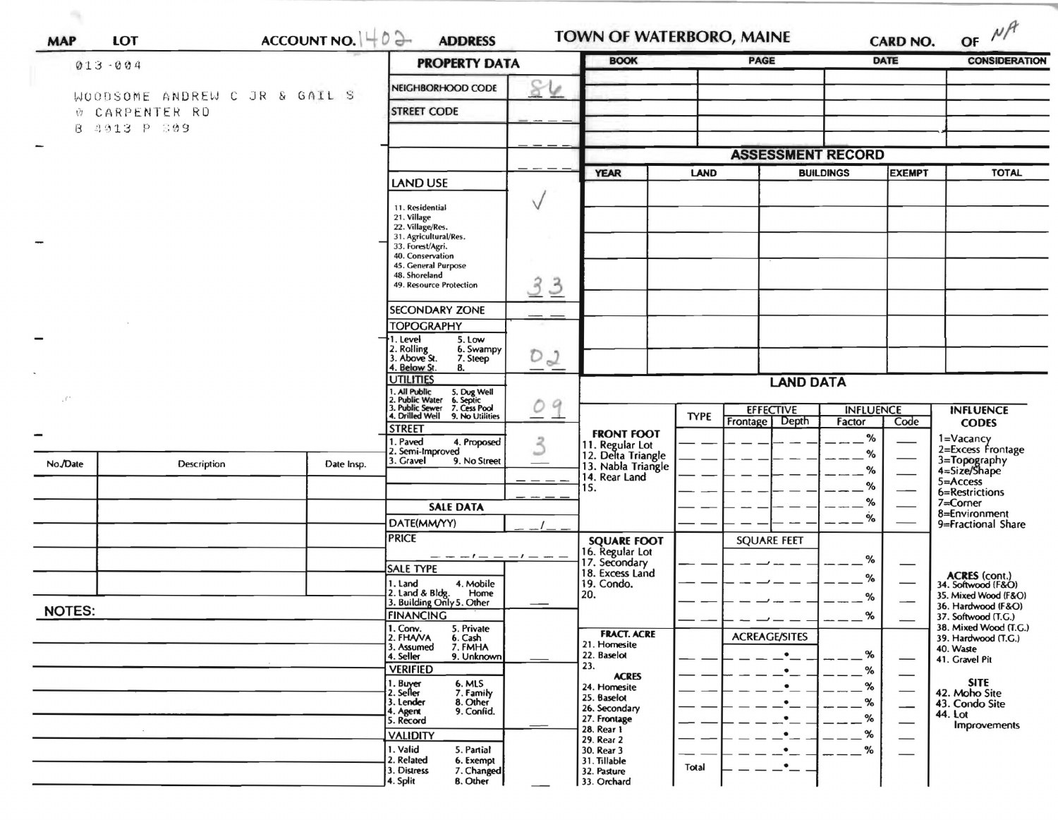|                       | $013 - 004$                   | ACCOUNT NO. $ $ + 0 $\rightarrow$ | <b>PROPERTY DATA</b>                                                                                                      | <b>BOOK</b>         |                                            | <b>CARD NO.</b><br><b>PAGE</b> |                          | <b>DATE</b>      | OF $M$<br><b>CONSIDERATION</b>            |                                              |
|-----------------------|-------------------------------|-----------------------------------|---------------------------------------------------------------------------------------------------------------------------|---------------------|--------------------------------------------|--------------------------------|--------------------------|------------------|-------------------------------------------|----------------------------------------------|
|                       |                               |                                   |                                                                                                                           |                     |                                            |                                |                          |                  |                                           |                                              |
|                       | WOODSOME ANDREW C JR & GAIL S |                                   | NEIGHBORHOOD CODE                                                                                                         | $\varphi$           |                                            |                                |                          |                  |                                           |                                              |
|                       | W CARPENTER RD                |                                   | <b>STREET CODE</b>                                                                                                        |                     |                                            |                                |                          |                  |                                           |                                              |
|                       | B 4913 P 809                  |                                   |                                                                                                                           |                     |                                            |                                |                          |                  |                                           |                                              |
|                       |                               |                                   |                                                                                                                           |                     |                                            |                                | <b>ASSESSMENT RECORD</b> |                  |                                           |                                              |
|                       |                               |                                   |                                                                                                                           |                     | <b>YEAR</b>                                | LAND                           |                          | <b>BUILDINGS</b> | <b>EXEMPT</b>                             | <b>TOTAL</b>                                 |
|                       |                               |                                   | <b>LAND USE</b>                                                                                                           |                     |                                            |                                |                          |                  |                                           |                                              |
|                       |                               |                                   | 11. Residential<br>21. Village                                                                                            |                     |                                            |                                |                          |                  |                                           |                                              |
|                       |                               |                                   | 22. Village/Res.<br>31. Agricultural/Res.                                                                                 |                     |                                            |                                |                          |                  |                                           |                                              |
|                       |                               |                                   | 33. Forest/Agri.                                                                                                          |                     |                                            |                                |                          |                  |                                           |                                              |
|                       |                               |                                   | 40. Conservation<br>45. General Purpose                                                                                   |                     |                                            |                                |                          |                  |                                           |                                              |
|                       |                               |                                   | 48. Shoreland<br>49. Resource Protection                                                                                  | 3<br>$\overline{3}$ |                                            |                                |                          |                  |                                           |                                              |
|                       |                               |                                   | <b>SECONDARY ZONE</b>                                                                                                     |                     |                                            |                                |                          |                  |                                           |                                              |
|                       |                               |                                   | <b>TOPOGRAPHY</b>                                                                                                         |                     |                                            |                                |                          |                  |                                           |                                              |
|                       |                               |                                   | 1. Level<br>5. Low                                                                                                        |                     |                                            |                                |                          |                  |                                           |                                              |
|                       |                               |                                   | 2. Rolling<br>3. Above St.<br>6. Swampy<br>7. Steep                                                                       | $D_2$               |                                            |                                |                          |                  |                                           |                                              |
|                       |                               |                                   | 4. Below St.<br>8.<br><b>JTILITIES</b>                                                                                    |                     |                                            |                                | <b>LAND DATA</b>         |                  |                                           |                                              |
| $\mathcal{F}^{\star}$ |                               |                                   | 1. All Public 5. Dug Well<br>2. Public Water 6. Septic<br>3. Public Sewer 7. Cess Pool<br>4. Drilled Well 9. No Utilities |                     |                                            |                                |                          |                  |                                           |                                              |
|                       |                               |                                   |                                                                                                                           | $\mathcal Q$        |                                            | <b>TYPE</b>                    | <b>EFFECTIVE</b>         | <b>INFLUENCE</b> |                                           | <b>INFLUENCE</b>                             |
|                       |                               |                                   | <b>STREET</b>                                                                                                             |                     | <b>FRONT FOOT</b>                          |                                | Depth<br>Frontage        | Factor<br>%      | Code                                      | <b>CODES</b>                                 |
|                       |                               |                                   | 1. Paved<br>4. Proposed<br>2. Semi-Improved                                                                               | $\mathcal{Z}$       | 11. Regular Lot<br>12. Delta Triangle      |                                |                          | %                |                                           | 1=Vacancy<br>2=Excess Frontage               |
| No./Date              | Description                   | Date Insp.                        | 3. Gravel<br>9. No Street                                                                                                 |                     | 13. Nabla Triangle<br>14. Rear Land<br>15. |                                |                          | %                |                                           | 3=Topography<br>4=Size/Shape                 |
|                       |                               |                                   |                                                                                                                           |                     |                                            |                                |                          | %                |                                           | $5 =$ Access<br>6=Restrictions               |
|                       |                               |                                   | <b>SALE DATA</b>                                                                                                          |                     |                                            |                                |                          | %                |                                           | 7=Corner                                     |
|                       |                               |                                   | DATE(MM/YY)                                                                                                               |                     |                                            |                                |                          | %                |                                           | 8=Environment<br>9=Fractional Share          |
|                       |                               |                                   | <b>PRICE</b>                                                                                                              |                     | <b>SQUARE FOOT</b>                         |                                | <b>SQUARE FEET</b>       |                  |                                           |                                              |
|                       |                               |                                   | $- - - - - - - - -$                                                                                                       |                     | 16. Regular Lot<br>17. Secondary           |                                |                          | %                |                                           |                                              |
|                       |                               |                                   | <b>SALE TYPE</b><br>4. Mobile<br>1. Land                                                                                  |                     | 18. Excess Land<br>19. Condo.              |                                |                          | $\%$             |                                           | ACRES (cont.)<br>34. Softwood (F&O)          |
|                       |                               |                                   | 2. Land & Bldg. Home<br>3. Building Only 5. Other<br>Home                                                                 |                     | 20.                                        |                                |                          | %                |                                           | 35. Mixed Wood (F&O)                         |
| <b>NOTES:</b>         |                               | <b>FINANCING</b>                  |                                                                                                                           |                     |                                            |                                | ℅                        |                  | 36. Hardwood (F&O)<br>37. Softwood (T.G.) |                                              |
|                       |                               |                                   | 1. Conv.<br>5. Private<br>2. FHAVA<br>6. Cash                                                                             |                     | <b>FRACT. ACRE</b>                         |                                | <b>ACREAGE/SITES</b>     |                  |                                           | 38. Mixed Wood (T.G.)<br>39. Hardwood (T.G.) |
|                       |                               |                                   | 3. Assumed<br>7. FMHA<br>9. Unknown<br>4. Seller                                                                          |                     | 21. Homesite<br>22. Baselot                |                                | $\bullet$                | %                |                                           | 40. Waste                                    |
|                       |                               |                                   | <b>VERIFIED</b>                                                                                                           |                     | 23.                                        |                                |                          | $\%$             |                                           | 41. Gravel Pit                               |
|                       |                               |                                   | 1. Buyer<br>2. Seller<br>6. MLS<br>7. Family                                                                              |                     | <b>ACRES</b><br>24. Homesite               |                                |                          | $\%$             |                                           | <b>SITE</b><br>42. Moho Site                 |
|                       |                               |                                   | 3. Lender<br>8. Other<br>9. Confid.                                                                                       |                     | 25. Baselot<br>26. Secondary               |                                |                          | %                | --                                        | 43. Condo Site                               |
|                       |                               |                                   | 4. Agent<br>5. Record                                                                                                     |                     | 27. Frontage<br>28. Rear 1                 |                                |                          | %                | -                                         | 44. Lot<br>Improvements                      |
|                       |                               |                                   | <b>VALIDITY</b>                                                                                                           |                     | 29. Rear 2                                 |                                |                          | %                |                                           |                                              |
|                       |                               |                                   | 1. Valid<br>5. Partial<br>2. Related<br>6. Exempt                                                                         |                     | 30. Rear 3<br>31. Tillable                 |                                |                          | %                |                                           |                                              |
|                       |                               |                                   | 3. Distress<br>7. Changed                                                                                                 |                     | 32. Pasture<br>33. Orchard                 | Total                          |                          |                  |                                           |                                              |

 $\alpha_{\rm R}$